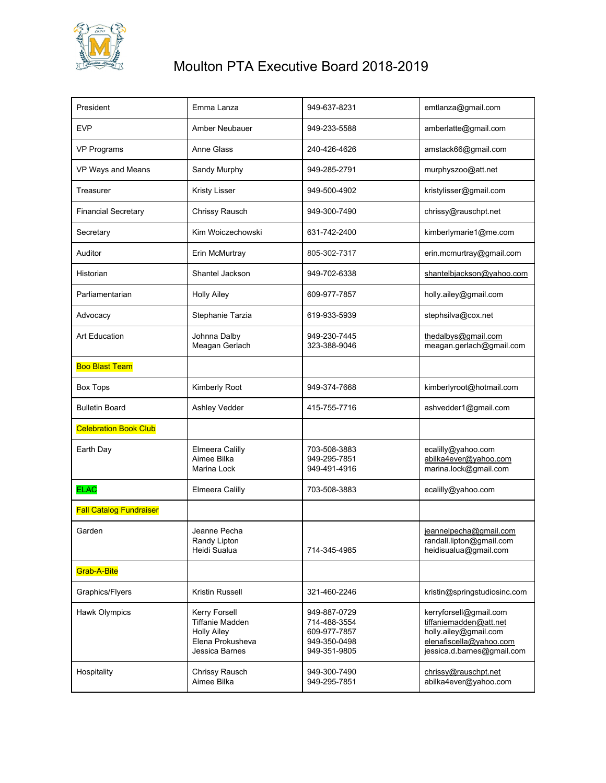

## Moulton PTA Executive Board 2018-2019

| President                      | Emma Lanza                                                    | 949-637-8231                                 | emtlanza@gmail.com                                                          |
|--------------------------------|---------------------------------------------------------------|----------------------------------------------|-----------------------------------------------------------------------------|
| <b>EVP</b>                     | Amber Neubauer                                                | 949-233-5588                                 | amberlatte@gmail.com                                                        |
| <b>VP Programs</b>             | Anne Glass                                                    | 240-426-4626                                 | amstack66@gmail.com                                                         |
| VP Ways and Means              | Sandy Murphy                                                  | 949-285-2791                                 | murphyszoo@att.net                                                          |
| Treasurer                      | <b>Kristy Lisser</b>                                          | 949-500-4902                                 | kristylisser@gmail.com                                                      |
| <b>Financial Secretary</b>     | Chrissy Rausch                                                | 949-300-7490                                 | chrissy@rauschpt.net                                                        |
| Secretary                      | Kim Woiczechowski                                             | 631-742-2400                                 | kimberlymarie1@me.com                                                       |
| Auditor                        | Erin McMurtray                                                | 805-302-7317                                 | erin.mcmurtray@gmail.com                                                    |
| Historian                      | Shantel Jackson                                               | 949-702-6338                                 | shantelbjackson@yahoo.com                                                   |
| Parliamentarian                | <b>Holly Ailey</b>                                            | 609-977-7857                                 | holly.ailey@gmail.com                                                       |
| Advocacy                       | Stephanie Tarzia                                              | 619-933-5939                                 | stephsilva@cox.net                                                          |
| <b>Art Education</b>           | Johnna Dalby<br>Meagan Gerlach                                | 949-230-7445<br>323-388-9046                 | thedalbys@gmail.com<br>meagan.gerlach@gmail.com                             |
| <b>Boo Blast Team</b>          |                                                               |                                              |                                                                             |
| <b>Box Tops</b>                | Kimberly Root                                                 | 949-374-7668                                 | kimberlyroot@hotmail.com                                                    |
| <b>Bulletin Board</b>          | Ashley Vedder                                                 | 415-755-7716                                 | ashvedder1@gmail.com                                                        |
| <b>Celebration Book Club</b>   |                                                               |                                              |                                                                             |
| Earth Day                      | Elmeera Calilly<br>Aimee Bilka<br>Marina Lock                 | 703-508-3883<br>949-295-7851<br>949-491-4916 | ecalilly@yahoo.com<br>abilka4ever@yahoo.com<br>marina.lock@gmail.com        |
| <b>ELAC</b>                    | Elmeera Calilly                                               | 703-508-3883                                 | ecalilly@yahoo.com                                                          |
| <b>Fall Catalog Fundraiser</b> |                                                               |                                              |                                                                             |
| Garden                         | Jeanne Pecha<br>Randy Lipton<br>Heidi Sualua                  | 714-345-4985                                 | jeannelpecha@gmail.com<br>randall.lipton@gmail.com<br>heidisualua@gmail.com |
| Grab-A-Bite                    |                                                               |                                              |                                                                             |
| Graphics/Flyers                | Kristin Russell                                               | 321-460-2246                                 | kristin@springstudiosinc.com                                                |
| Hawk Olympics                  | Kerry Forsell<br><b>Tiffanie Madden</b><br><b>Holly Ailey</b> | 949-887-0729<br>714-488-3554<br>609-977-7857 | kerryforsell@gmail.com<br>tiffaniemadden@att.net<br>holly.ailey@gmail.com   |
|                                | Elena Prokusheva<br>Jessica Barnes                            | 949-350-0498<br>949-351-9805                 | elenafiscella@yahoo.com<br>jessica.d.barnes@gmail.com                       |